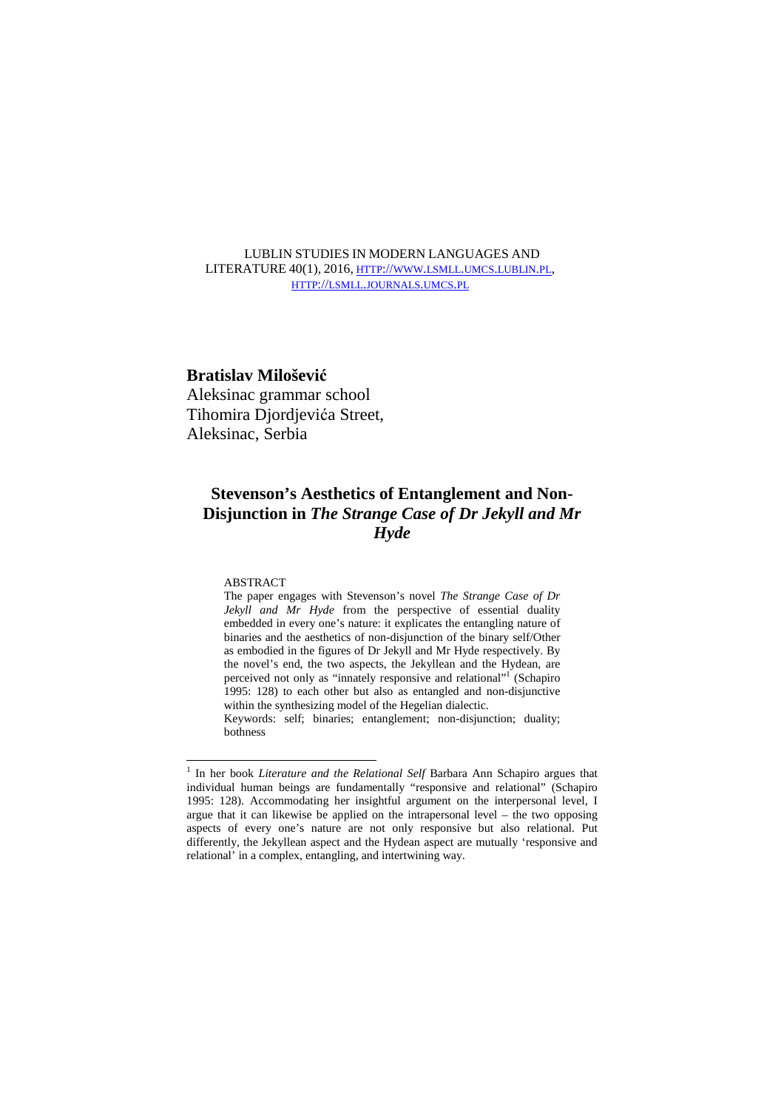# LUBLIN STUDIES IN MODERN LANGUAGES AND LITERATURE 40(1), 2016, HTTP://WWW.LSMLL.UMCS.LUBLIN.PL, HTTP://LSMLL.JOURNALS.UMCS.PL

# **Bratislav Milošević**

Aleksinac grammar school Tihomira Djordjevića Street, Aleksinac, Serbia

# **Stevenson's Aesthetics of Entanglement and Non-Disjunction in** *The Strange Case of Dr Jekyll and Mr Hyde*

## **ABSTRACT**

<u>.</u>

The paper engages with Stevenson's novel *The Strange Case of Dr Jekyll and Mr Hyde* from the perspective of essential duality embedded in every one's nature: it explicates the entangling nature of binaries and the aesthetics of non-disjunction of the binary self/Other as embodied in the figures of Dr Jekyll and Mr Hyde respectively. By the novel's end, the two aspects, the Jekyllean and the Hydean, are perceived not only as "innately responsive and relational"<sup>1</sup> (Schapiro 1995: 128) to each other but also as entangled and non-disjunctive within the synthesizing model of the Hegelian dialectic. Keywords: self; binaries; entanglement; non-disjunction; duality;

bothness

<sup>&</sup>lt;sup>1</sup> In her book *Literature and the Relational Self* Barbara Ann Schapiro argues that individual human beings are fundamentally "responsive and relational" (Schapiro 1995: 128). Accommodating her insightful argument on the interpersonal level, I argue that it can likewise be applied on the intrapersonal level – the two opposing aspects of every one's nature are not only responsive but also relational. Put differently, the Jekyllean aspect and the Hydean aspect are mutually 'responsive and relational' in a complex, entangling, and intertwining way.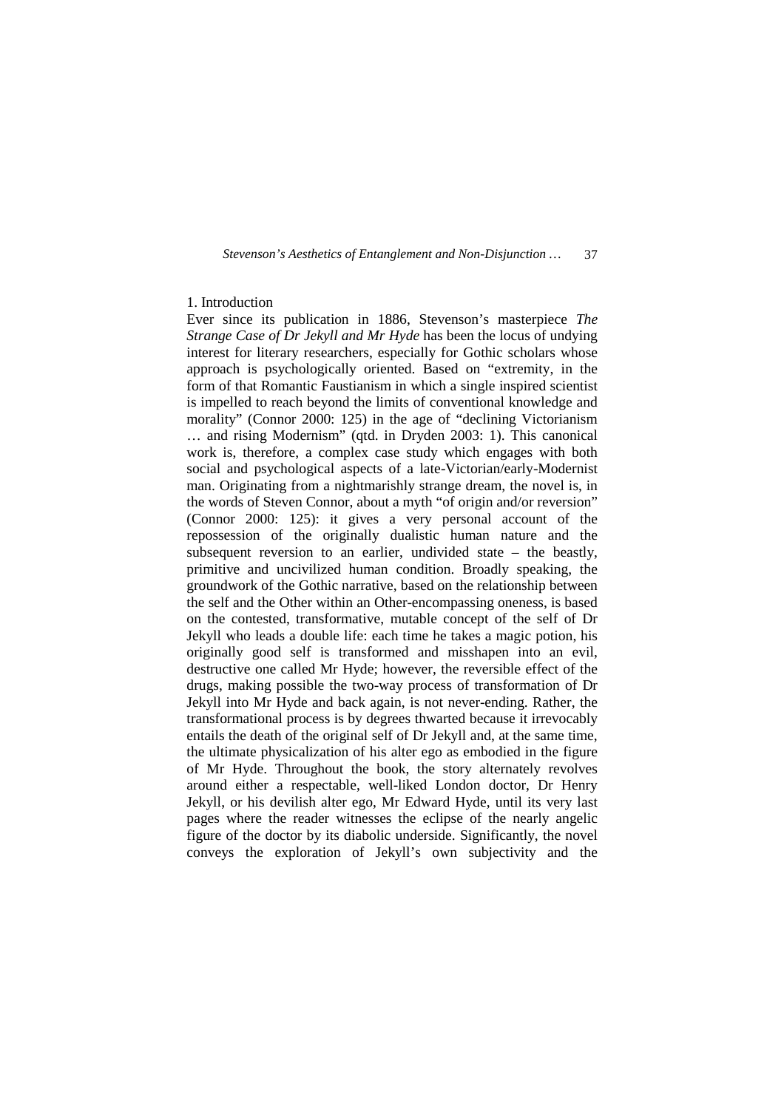# 1. Introduction

Ever since its publication in 1886, Stevenson's masterpiece *The Strange Case of Dr Jekyll and Mr Hyde* has been the locus of undying interest for literary researchers, especially for Gothic scholars whose approach is psychologically oriented. Based on "extremity, in the form of that Romantic Faustianism in which a single inspired scientist is impelled to reach beyond the limits of conventional knowledge and morality" (Connor 2000: 125) in the age of "declining Victorianism … and rising Modernism" (qtd. in Dryden 2003: 1). This canonical work is, therefore, a complex case study which engages with both social and psychological aspects of a late-Victorian/early-Modernist man. Originating from a nightmarishly strange dream, the novel is, in the words of Steven Connor, about a myth "of origin and/or reversion" (Connor 2000: 125): it gives a very personal account of the repossession of the originally dualistic human nature and the subsequent reversion to an earlier, undivided state – the beastly, primitive and uncivilized human condition. Broadly speaking, the groundwork of the Gothic narrative, based on the relationship between the self and the Other within an Other-encompassing oneness, is based on the contested, transformative, mutable concept of the self of Dr Jekyll who leads a double life: each time he takes a magic potion, his originally good self is transformed and misshapen into an evil, destructive one called Mr Hyde; however, the reversible effect of the drugs, making possible the two-way process of transformation of Dr Jekyll into Mr Hyde and back again, is not never-ending. Rather, the transformational process is by degrees thwarted because it irrevocably entails the death of the original self of Dr Jekyll and, at the same time, the ultimate physicalization of his alter ego as embodied in the figure of Mr Hyde. Throughout the book, the story alternately revolves around either a respectable, well-liked London doctor, Dr Henry Jekyll, or his devilish alter ego, Mr Edward Hyde, until its very last pages where the reader witnesses the eclipse of the nearly angelic figure of the doctor by its diabolic underside. Significantly, the novel conveys the exploration of Jekyll's own subjectivity and the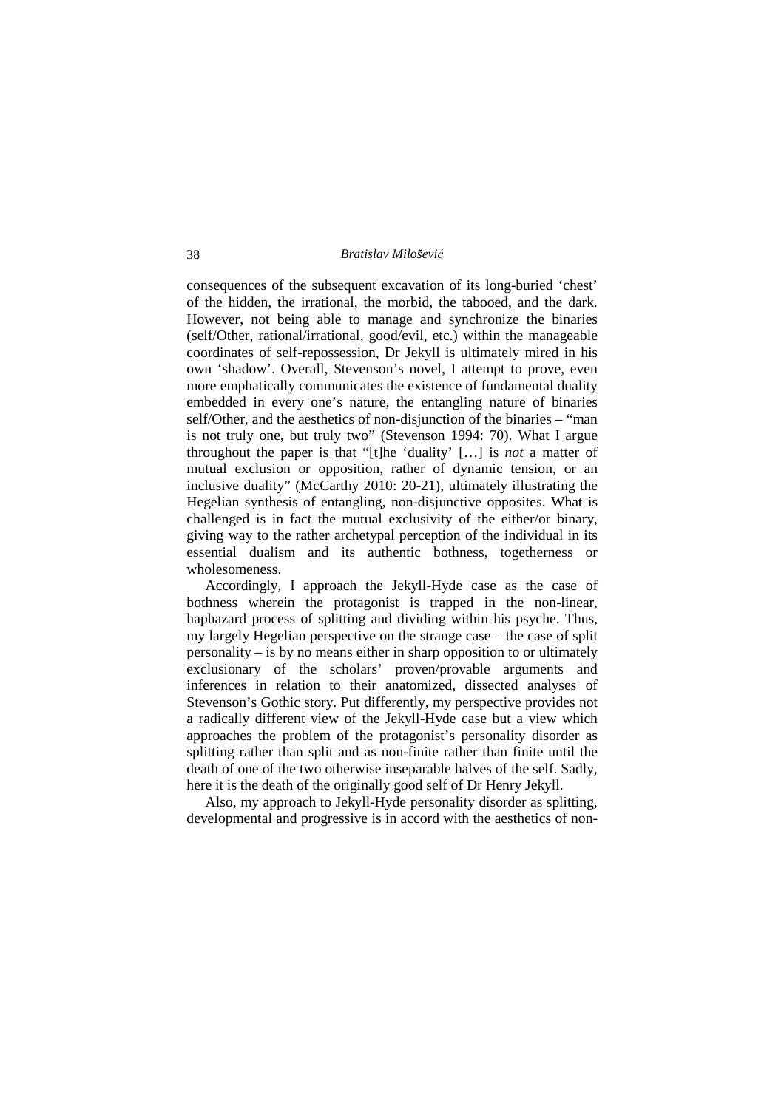consequences of the subsequent excavation of its long-buried 'chest' of the hidden, the irrational, the morbid, the tabooed, and the dark. However, not being able to manage and synchronize the binaries (self/Other, rational/irrational, good/evil, etc.) within the manageable coordinates of self-repossession, Dr Jekyll is ultimately mired in his own 'shadow'. Overall, Stevenson's novel, I attempt to prove, even more emphatically communicates the existence of fundamental duality embedded in every one's nature, the entangling nature of binaries self/Other, and the aesthetics of non-disjunction of the binaries – "man is not truly one, but truly two" (Stevenson 1994: 70). What I argue throughout the paper is that "[t]he 'duality' […] is *not* a matter of mutual exclusion or opposition, rather of dynamic tension, or an inclusive duality" (McCarthy 2010: 20-21), ultimately illustrating the Hegelian synthesis of entangling, non-disjunctive opposites. What is challenged is in fact the mutual exclusivity of the either/or binary, giving way to the rather archetypal perception of the individual in its essential dualism and its authentic bothness, togetherness or wholesomeness.

 Accordingly, I approach the Jekyll-Hyde case as the case of bothness wherein the protagonist is trapped in the non-linear, haphazard process of splitting and dividing within his psyche. Thus, my largely Hegelian perspective on the strange case – the case of split personality – is by no means either in sharp opposition to or ultimately exclusionary of the scholars' proven/provable arguments and inferences in relation to their anatomized, dissected analyses of Stevenson's Gothic story. Put differently, my perspective provides not a radically different view of the Jekyll-Hyde case but a view which approaches the problem of the protagonist's personality disorder as splitting rather than split and as non-finite rather than finite until the death of one of the two otherwise inseparable halves of the self. Sadly, here it is the death of the originally good self of Dr Henry Jekyll.

 Also, my approach to Jekyll-Hyde personality disorder as splitting, developmental and progressive is in accord with the aesthetics of non-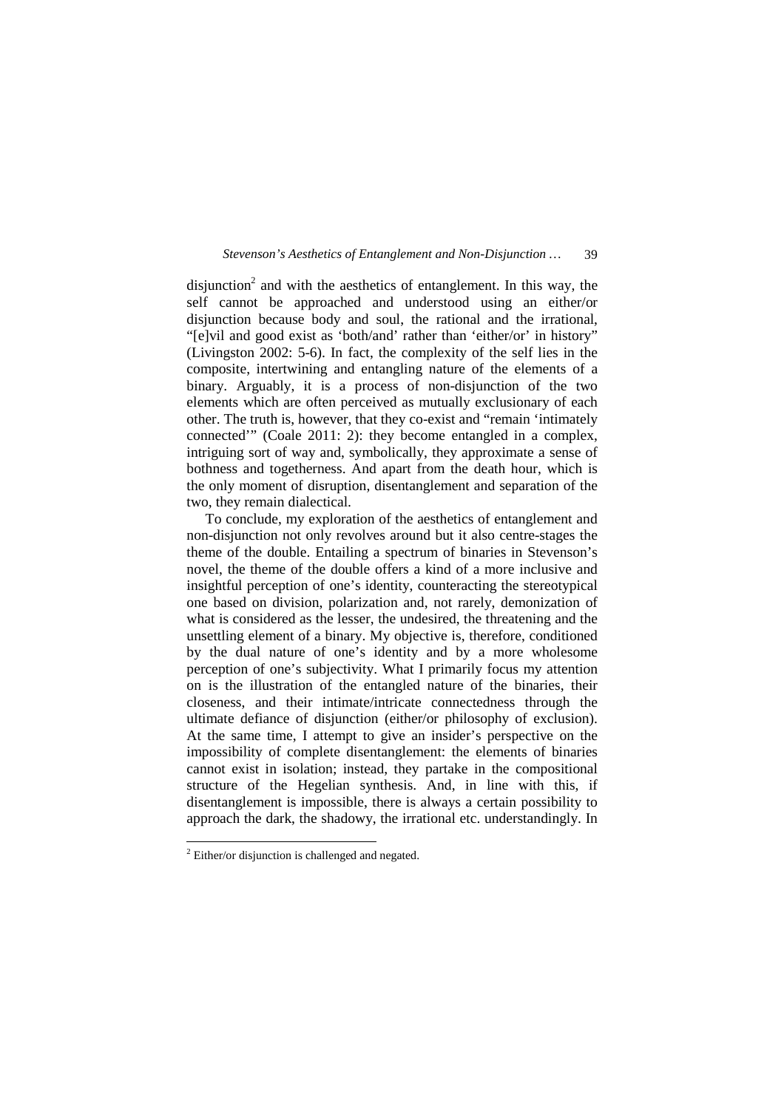disjunction<sup>2</sup> and with the aesthetics of entanglement. In this way, the self cannot be approached and understood using an either/or disjunction because body and soul, the rational and the irrational, "[e]vil and good exist as 'both/and' rather than 'either/or' in history" (Livingston 2002: 5-6). In fact, the complexity of the self lies in the composite, intertwining and entangling nature of the elements of a binary. Arguably, it is a process of non-disjunction of the two elements which are often perceived as mutually exclusionary of each other. The truth is, however, that they co-exist and "remain 'intimately connected'" (Coale 2011: 2): they become entangled in a complex, intriguing sort of way and, symbolically, they approximate a sense of bothness and togetherness. And apart from the death hour, which is the only moment of disruption, disentanglement and separation of the two, they remain dialectical.

 To conclude, my exploration of the aesthetics of entanglement and non-disjunction not only revolves around but it also centre-stages the theme of the double. Entailing a spectrum of binaries in Stevenson's novel, the theme of the double offers a kind of a more inclusive and insightful perception of one's identity, counteracting the stereotypical one based on division, polarization and, not rarely, demonization of what is considered as the lesser, the undesired, the threatening and the unsettling element of a binary. My objective is, therefore, conditioned by the dual nature of one's identity and by a more wholesome perception of one's subjectivity. What I primarily focus my attention on is the illustration of the entangled nature of the binaries, their closeness, and their intimate/intricate connectedness through the ultimate defiance of disjunction (either/or philosophy of exclusion). At the same time, I attempt to give an insider's perspective on the impossibility of complete disentanglement: the elements of binaries cannot exist in isolation; instead, they partake in the compositional structure of the Hegelian synthesis. And, in line with this, if disentanglement is impossible, there is always a certain possibility to approach the dark, the shadowy, the irrational etc. understandingly. In

 $\overline{a}$ 

 $2$  Either/or disjunction is challenged and negated.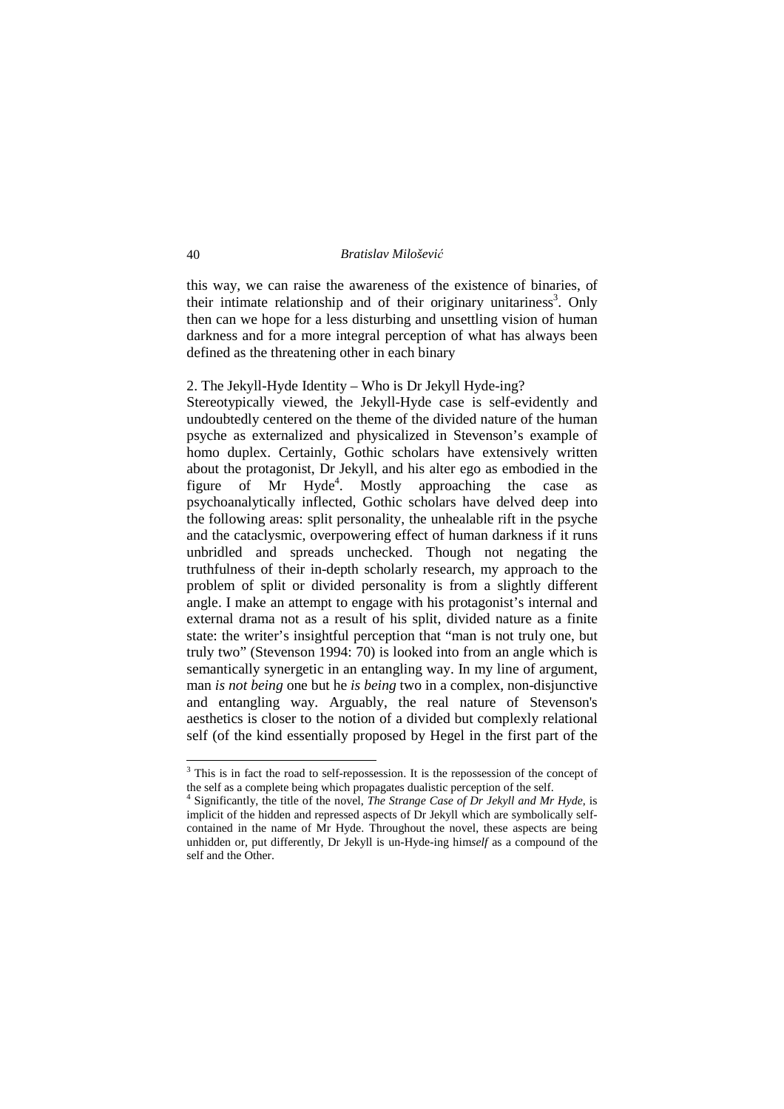this way, we can raise the awareness of the existence of binaries, of their intimate relationship and of their originary unitariness<sup>3</sup>. Only then can we hope for a less disturbing and unsettling vision of human darkness and for a more integral perception of what has always been defined as the threatening other in each binary

# 2. The Jekyll-Hyde Identity – Who is Dr Jekyll Hyde-ing?

Stereotypically viewed, the Jekyll-Hyde case is self-evidently and undoubtedly centered on the theme of the divided nature of the human psyche as externalized and physicalized in Stevenson's example of homo duplex. Certainly, Gothic scholars have extensively written about the protagonist, Dr Jekyll, and his alter ego as embodied in the figure of Mr Hyde<sup>4</sup>. Mostly approaching the case as psychoanalytically inflected, Gothic scholars have delved deep into the following areas: split personality, the unhealable rift in the psyche and the cataclysmic, overpowering effect of human darkness if it runs unbridled and spreads unchecked. Though not negating the truthfulness of their in-depth scholarly research, my approach to the problem of split or divided personality is from a slightly different angle. I make an attempt to engage with his protagonist's internal and external drama not as a result of his split, divided nature as a finite state: the writer's insightful perception that "man is not truly one, but truly two" (Stevenson 1994: 70) is looked into from an angle which is semantically synergetic in an entangling way. In my line of argument, man *is not being* one but he *is being* two in a complex, non-disjunctive and entangling way. Arguably, the real nature of Stevenson's aesthetics is closer to the notion of a divided but complexly relational self (of the kind essentially proposed by Hegel in the first part of the

<u>.</u>

<sup>&</sup>lt;sup>3</sup> This is in fact the road to self-repossession. It is the repossession of the concept of the self as a complete being which propagates dualistic perception of the self.

<sup>4</sup> Significantly, the title of the novel, *The Strange Case of Dr Jekyll and Mr Hyde*, is implicit of the hidden and repressed aspects of Dr Jekyll which are symbolically selfcontained in the name of Mr Hyde. Throughout the novel, these aspects are being unhidden or, put differently, Dr Jekyll is un-Hyde-ing him*self* as a compound of the self and the Other.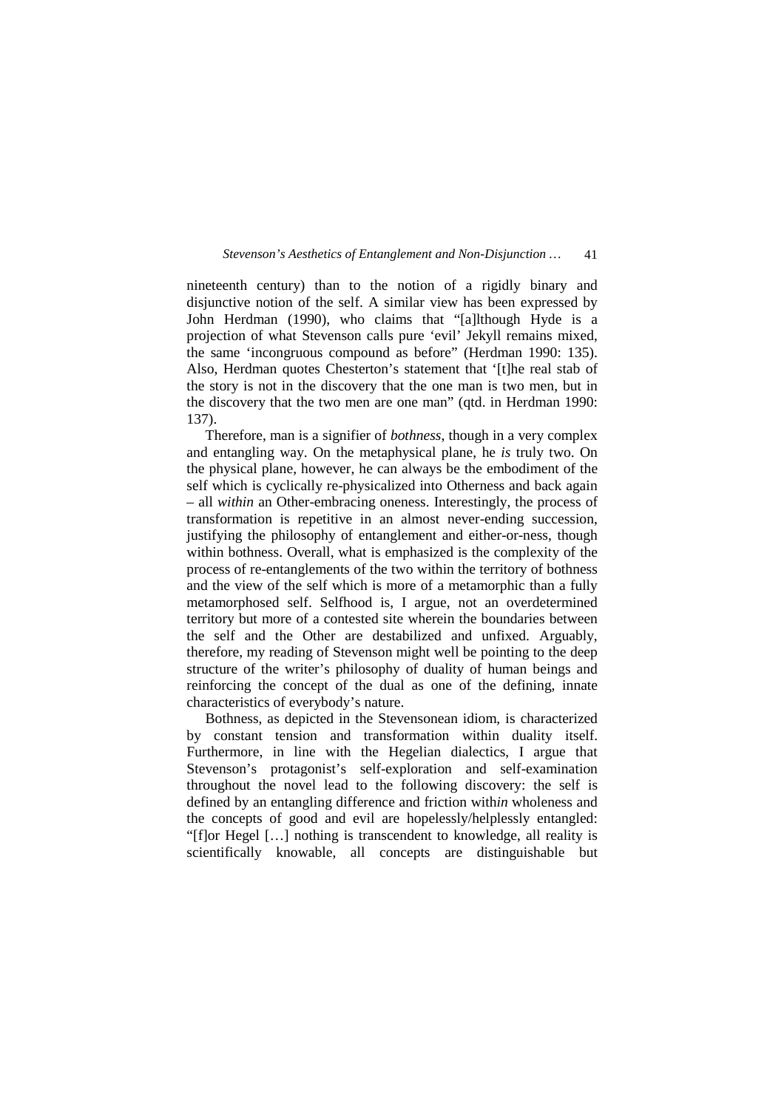nineteenth century) than to the notion of a rigidly binary and disjunctive notion of the self. A similar view has been expressed by John Herdman (1990), who claims that "[a]lthough Hyde is a projection of what Stevenson calls pure 'evil' Jekyll remains mixed, the same 'incongruous compound as before" (Herdman 1990: 135). Also, Herdman quotes Chesterton's statement that '[t]he real stab of the story is not in the discovery that the one man is two men, but in the discovery that the two men are one man" (qtd. in Herdman 1990: 137).

 Therefore, man is a signifier of *bothness*, though in a very complex and entangling way. On the metaphysical plane, he *is* truly two. On the physical plane, however, he can always be the embodiment of the self which is cyclically re-physicalized into Otherness and back again – all *within* an Other-embracing oneness. Interestingly, the process of transformation is repetitive in an almost never-ending succession, justifying the philosophy of entanglement and either-or-ness, though within bothness. Overall, what is emphasized is the complexity of the process of re-entanglements of the two within the territory of bothness and the view of the self which is more of a metamorphic than a fully metamorphosed self. Selfhood is, I argue, not an overdetermined territory but more of a contested site wherein the boundaries between the self and the Other are destabilized and unfixed. Arguably, therefore, my reading of Stevenson might well be pointing to the deep structure of the writer's philosophy of duality of human beings and reinforcing the concept of the dual as one of the defining, innate characteristics of everybody's nature.

 Bothness, as depicted in the Stevensonean idiom, is characterized by constant tension and transformation within duality itself. Furthermore, in line with the Hegelian dialectics, I argue that Stevenson's protagonist's self-exploration and self-examination throughout the novel lead to the following discovery: the self is defined by an entangling difference and friction with*in* wholeness and the concepts of good and evil are hopelessly/helplessly entangled: "[f]or Hegel […] nothing is transcendent to knowledge, all reality is scientifically knowable, all concepts are distinguishable but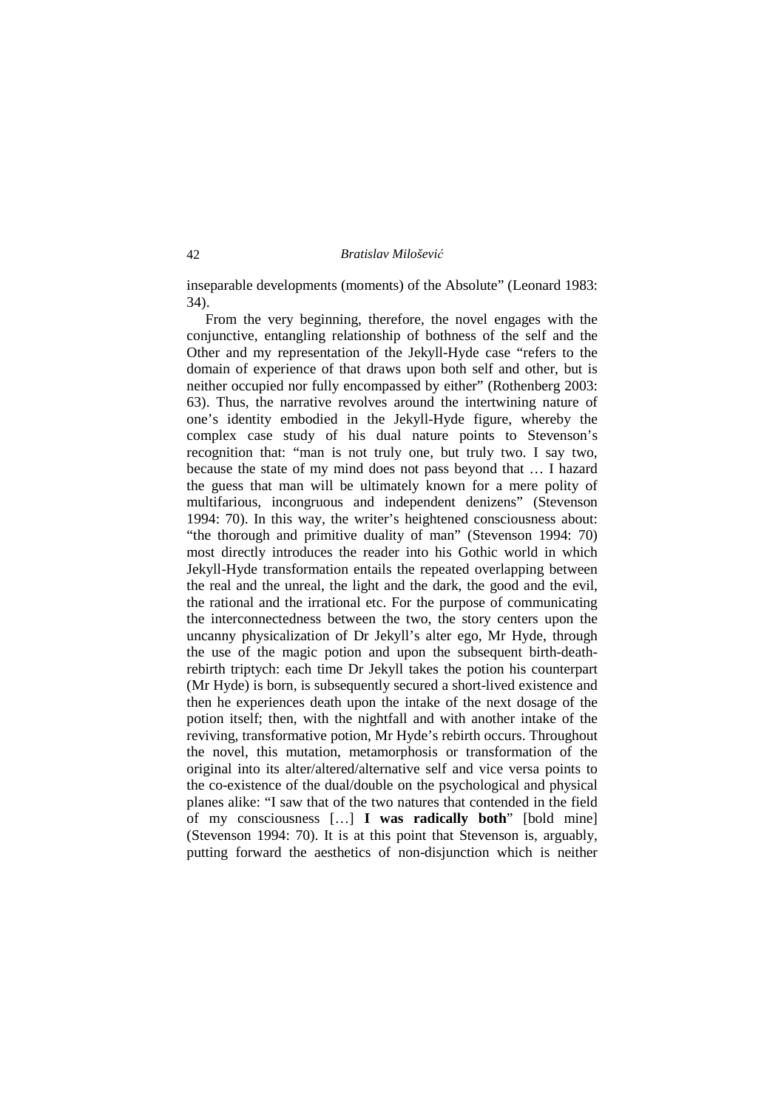inseparable developments (moments) of the Absolute" (Leonard 1983: 34).

 From the very beginning, therefore, the novel engages with the conjunctive, entangling relationship of bothness of the self and the Other and my representation of the Jekyll-Hyde case "refers to the domain of experience of that draws upon both self and other, but is neither occupied nor fully encompassed by either" (Rothenberg 2003: 63). Thus, the narrative revolves around the intertwining nature of one's identity embodied in the Jekyll-Hyde figure, whereby the complex case study of his dual nature points to Stevenson's recognition that: "man is not truly one, but truly two. I say two, because the state of my mind does not pass beyond that … I hazard the guess that man will be ultimately known for a mere polity of multifarious, incongruous and independent denizens" (Stevenson 1994: 70). In this way, the writer's heightened consciousness about: "the thorough and primitive duality of man" (Stevenson 1994: 70) most directly introduces the reader into his Gothic world in which Jekyll-Hyde transformation entails the repeated overlapping between the real and the unreal, the light and the dark, the good and the evil, the rational and the irrational etc. For the purpose of communicating the interconnectedness between the two, the story centers upon the uncanny physicalization of Dr Jekyll's alter ego, Mr Hyde, through the use of the magic potion and upon the subsequent birth-deathrebirth triptych: each time Dr Jekyll takes the potion his counterpart (Mr Hyde) is born, is subsequently secured a short-lived existence and then he experiences death upon the intake of the next dosage of the potion itself; then, with the nightfall and with another intake of the reviving, transformative potion, Mr Hyde's rebirth occurs. Throughout the novel, this mutation, metamorphosis or transformation of the original into its alter/altered/alternative self and vice versa points to the co-existence of the dual/double on the psychological and physical planes alike: "I saw that of the two natures that contended in the field of my consciousness […] **I was radically both**" [bold mine] (Stevenson 1994: 70). It is at this point that Stevenson is, arguably, putting forward the aesthetics of non-disjunction which is neither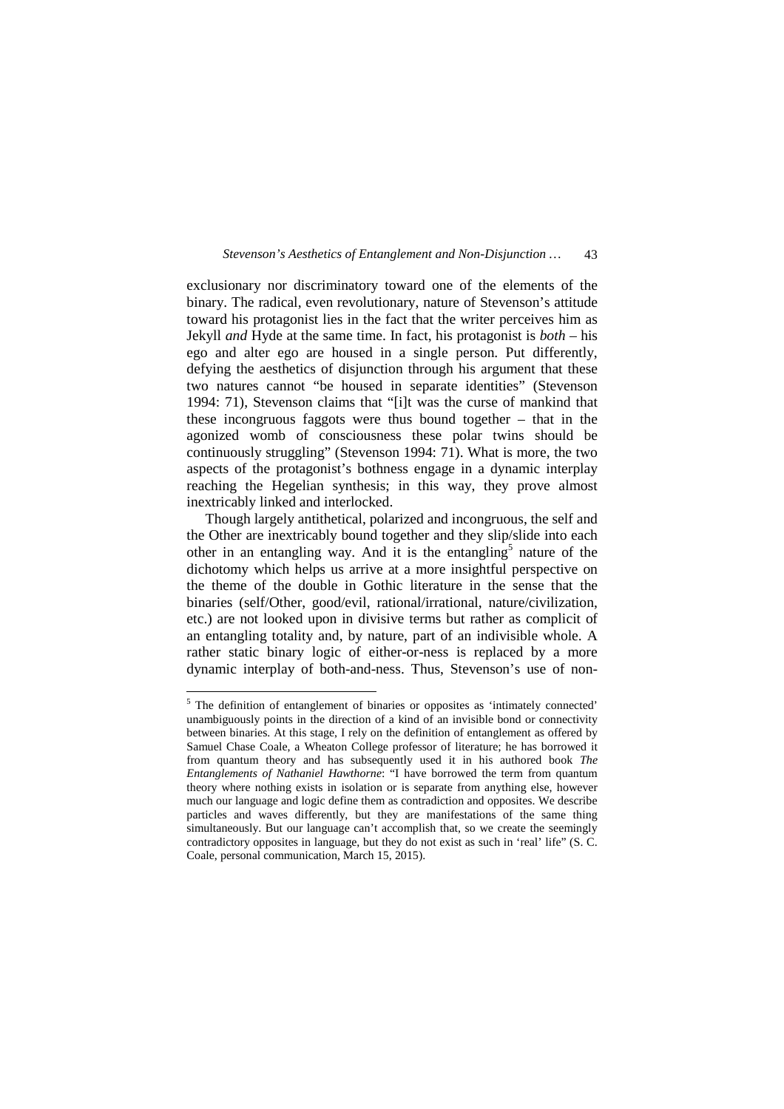exclusionary nor discriminatory toward one of the elements of the binary. The radical, even revolutionary, nature of Stevenson's attitude toward his protagonist lies in the fact that the writer perceives him as Jekyll *and* Hyde at the same time. In fact, his protagonist is *both* – his ego and alter ego are housed in a single person. Put differently, defying the aesthetics of disjunction through his argument that these two natures cannot "be housed in separate identities" (Stevenson 1994: 71), Stevenson claims that "[i]t was the curse of mankind that these incongruous faggots were thus bound together – that in the agonized womb of consciousness these polar twins should be continuously struggling" (Stevenson 1994: 71). What is more, the two aspects of the protagonist's bothness engage in a dynamic interplay reaching the Hegelian synthesis; in this way, they prove almost inextricably linked and interlocked.

 Though largely antithetical, polarized and incongruous, the self and the Other are inextricably bound together and they slip/slide into each other in an entangling way. And it is the entangling<sup>5</sup> nature of the dichotomy which helps us arrive at a more insightful perspective on the theme of the double in Gothic literature in the sense that the binaries (self/Other, good/evil, rational/irrational, nature/civilization, etc.) are not looked upon in divisive terms but rather as complicit of an entangling totality and, by nature, part of an indivisible whole. A rather static binary logic of either-or-ness is replaced by a more dynamic interplay of both-and-ness. Thus, Stevenson's use of non-

<u>.</u>

<sup>&</sup>lt;sup>5</sup> The definition of entanglement of binaries or opposites as 'intimately connected' unambiguously points in the direction of a kind of an invisible bond or connectivity between binaries. At this stage, I rely on the definition of entanglement as offered by Samuel Chase Coale, a Wheaton College professor of literature; he has borrowed it from quantum theory and has subsequently used it in his authored book *The Entanglements of Nathaniel Hawthorne*: "I have borrowed the term from quantum theory where nothing exists in isolation or is separate from anything else, however much our language and logic define them as contradiction and opposites. We describe particles and waves differently, but they are manifestations of the same thing simultaneously. But our language can't accomplish that, so we create the seemingly contradictory opposites in language, but they do not exist as such in 'real' life" (S. C. Coale, personal communication, March 15, 2015).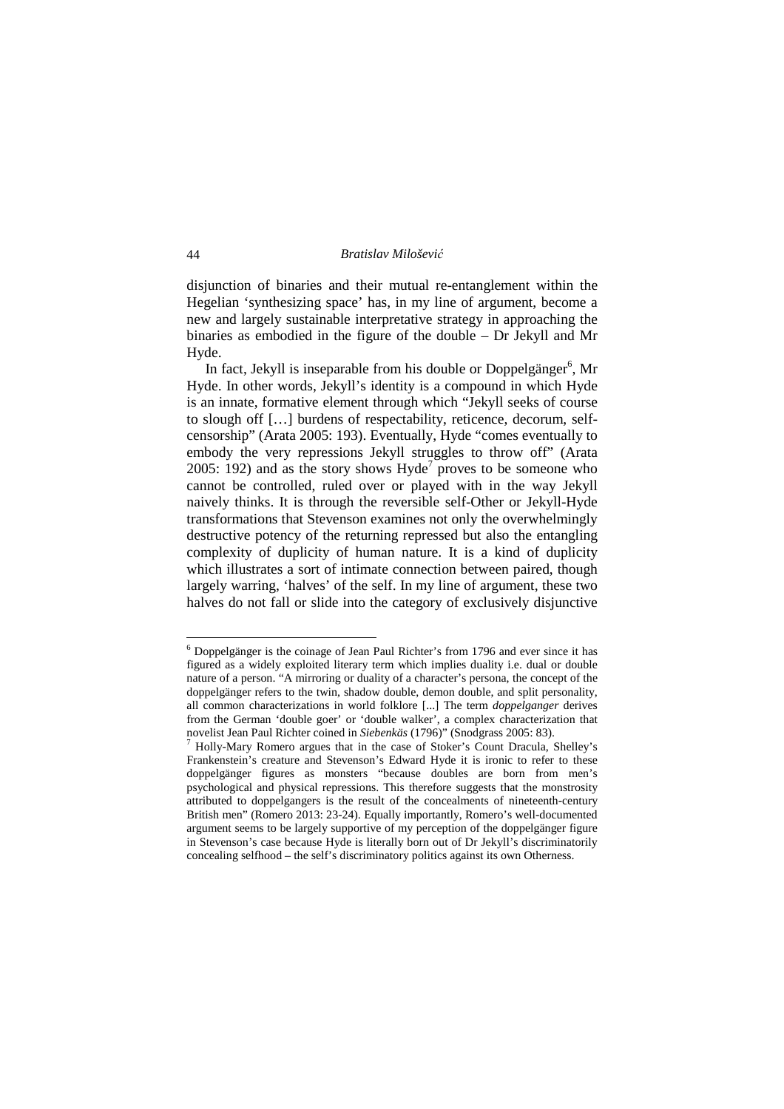disjunction of binaries and their mutual re-entanglement within the Hegelian 'synthesizing space' has, in my line of argument, become a new and largely sustainable interpretative strategy in approaching the binaries as embodied in the figure of the double – Dr Jekyll and Mr Hyde.

In fact, Jekyll is inseparable from his double or Doppelgänger<sup>6</sup>, Mr Hyde. In other words, Jekyll's identity is a compound in which Hyde is an innate, formative element through which "Jekyll seeks of course to slough off […] burdens of respectability, reticence, decorum, selfcensorship" (Arata 2005: 193). Eventually, Hyde "comes eventually to embody the very repressions Jekyll struggles to throw off" (Arata 2005: 192) and as the story shows  $Hyde<sup>7</sup>$  proves to be someone who cannot be controlled, ruled over or played with in the way Jekyll naively thinks. It is through the reversible self-Other or Jekyll-Hyde transformations that Stevenson examines not only the overwhelmingly destructive potency of the returning repressed but also the entangling complexity of duplicity of human nature. It is a kind of duplicity which illustrates a sort of intimate connection between paired, though largely warring, 'halves' of the self. In my line of argument, these two halves do not fall or slide into the category of exclusively disjunctive

-

<sup>&</sup>lt;sup>6</sup> Doppelgänger is the coinage of Jean Paul Richter's from 1796 and ever since it has figured as a widely exploited literary term which implies duality i.e. dual or double nature of a person. "A mirroring or duality of a character's persona, the concept of the doppelgänger refers to the twin, shadow double, demon double, and split personality, all common characterizations in world folklore [...] The term *doppelganger* derives from the German 'double goer' or 'double walker', a complex characterization that novelist Jean Paul Richter coined in *Siebenkäs* (1796)" (Snodgrass 2005: 83).

<sup>7</sup> Holly-Mary Romero argues that in the case of Stoker's Count Dracula, Shelley's Frankenstein's creature and Stevenson's Edward Hyde it is ironic to refer to these doppelgänger figures as monsters "because doubles are born from men's psychological and physical repressions. This therefore suggests that the monstrosity attributed to doppelgangers is the result of the concealments of nineteenth-century British men" (Romero 2013: 23-24). Equally importantly, Romero's well-documented argument seems to be largely supportive of my perception of the doppelgänger figure in Stevenson's case because Hyde is literally born out of Dr Jekyll's discriminatorily concealing selfhood – the self's discriminatory politics against its own Otherness.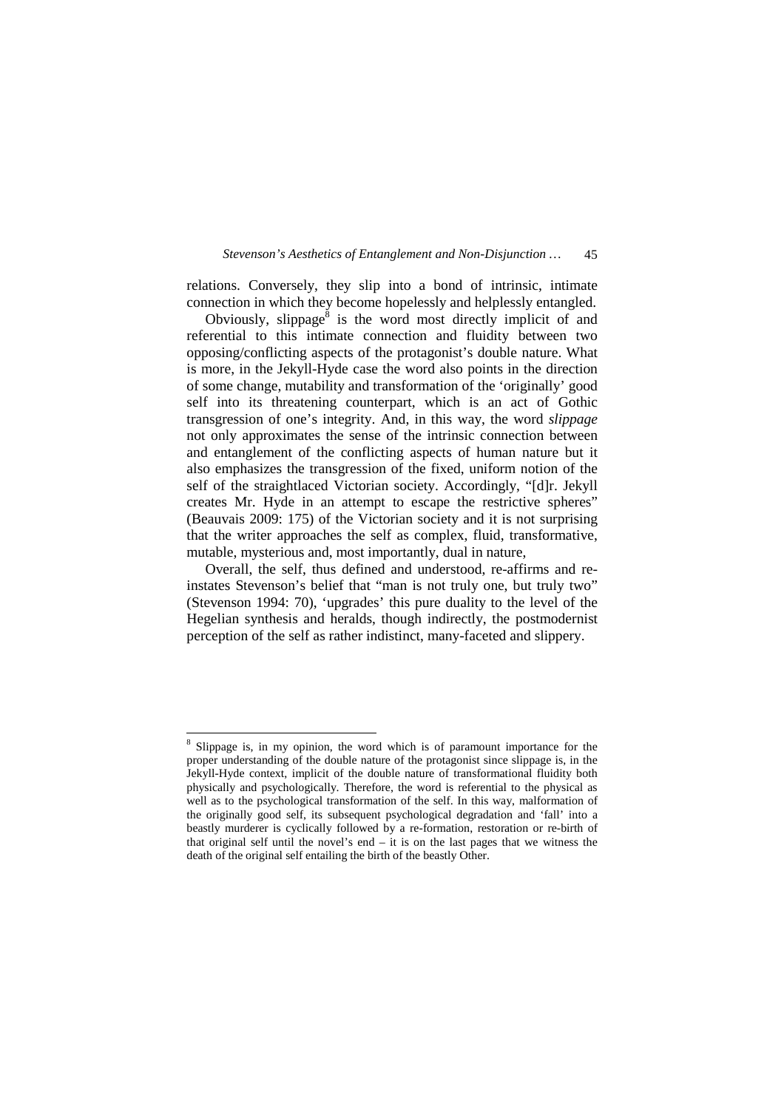relations. Conversely, they slip into a bond of intrinsic, intimate connection in which they become hopelessly and helplessly entangled.

Obviously, slippage $\delta$  is the word most directly implicit of and referential to this intimate connection and fluidity between two opposing/conflicting aspects of the protagonist's double nature. What is more, in the Jekyll-Hyde case the word also points in the direction of some change, mutability and transformation of the 'originally' good self into its threatening counterpart, which is an act of Gothic transgression of one's integrity. And, in this way, the word *slippage*  not only approximates the sense of the intrinsic connection between and entanglement of the conflicting aspects of human nature but it also emphasizes the transgression of the fixed, uniform notion of the self of the straightlaced Victorian society. Accordingly, "[d]r. Jekyll creates Mr. Hyde in an attempt to escape the restrictive spheres" (Beauvais 2009: 175) of the Victorian society and it is not surprising that the writer approaches the self as complex, fluid, transformative, mutable, mysterious and, most importantly, dual in nature,

 Overall, the self, thus defined and understood, re-affirms and reinstates Stevenson's belief that "man is not truly one, but truly two" (Stevenson 1994: 70), 'upgrades' this pure duality to the level of the Hegelian synthesis and heralds, though indirectly, the postmodernist perception of the self as rather indistinct, many-faceted and slippery.

 $\overline{a}$ 

<sup>&</sup>lt;sup>8</sup> Slippage is, in my opinion, the word which is of paramount importance for the proper understanding of the double nature of the protagonist since slippage is, in the Jekyll-Hyde context, implicit of the double nature of transformational fluidity both physically and psychologically. Therefore, the word is referential to the physical as well as to the psychological transformation of the self. In this way, malformation of the originally good self, its subsequent psychological degradation and 'fall' into a beastly murderer is cyclically followed by a re-formation, restoration or re-birth of that original self until the novel's end – it is on the last pages that we witness the death of the original self entailing the birth of the beastly Other.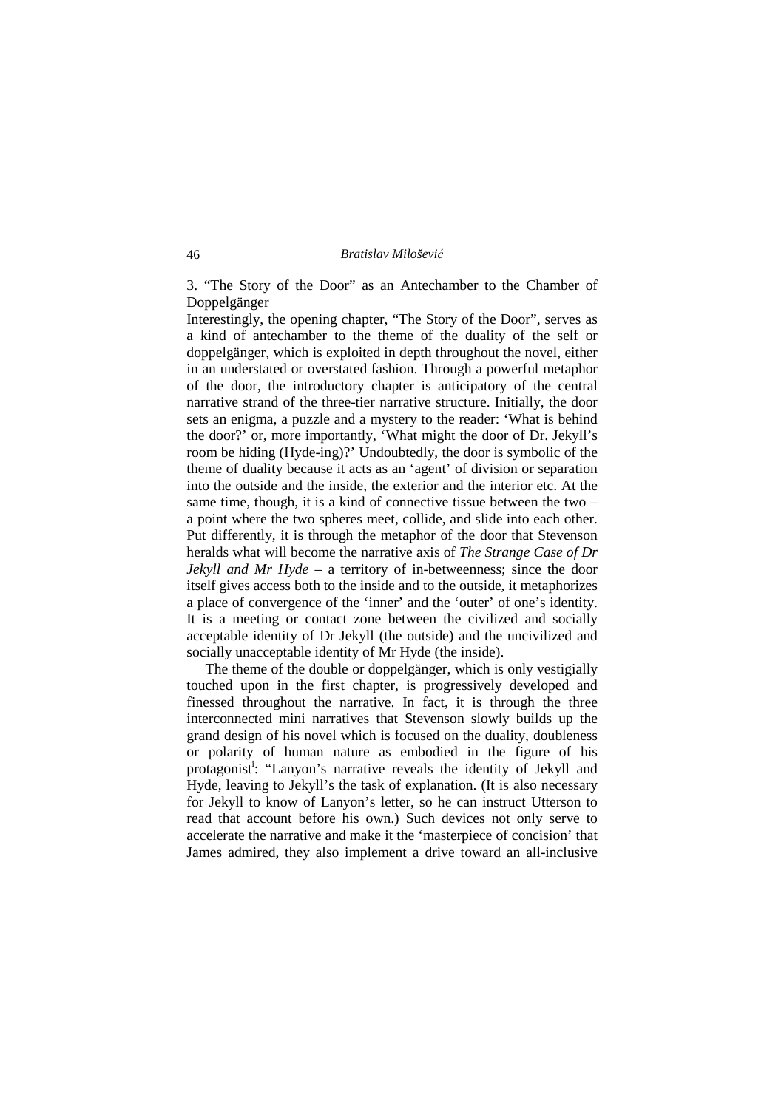3. "The Story of the Door" as an Antechamber to the Chamber of Doppelgänger

Interestingly, the opening chapter, "The Story of the Door", serves as a kind of antechamber to the theme of the duality of the self or doppelgänger, which is exploited in depth throughout the novel, either in an understated or overstated fashion. Through a powerful metaphor of the door, the introductory chapter is anticipatory of the central narrative strand of the three-tier narrative structure. Initially, the door sets an enigma, a puzzle and a mystery to the reader: 'What is behind the door?' or, more importantly, 'What might the door of Dr. Jekyll's room be hiding (Hyde-ing)?' Undoubtedly, the door is symbolic of the theme of duality because it acts as an 'agent' of division or separation into the outside and the inside, the exterior and the interior etc. At the same time, though, it is a kind of connective tissue between the two – a point where the two spheres meet, collide, and slide into each other. Put differently, it is through the metaphor of the door that Stevenson heralds what will become the narrative axis of *The Strange Case of Dr Jekyll and Mr Hyde* – a territory of in-betweenness; since the door itself gives access both to the inside and to the outside, it metaphorizes a place of convergence of the 'inner' and the 'outer' of one's identity. It is a meeting or contact zone between the civilized and socially acceptable identity of Dr Jekyll (the outside) and the uncivilized and socially unacceptable identity of Mr Hyde (the inside).

 The theme of the double or doppelgänger, which is only vestigially touched upon in the first chapter, is progressively developed and finessed throughout the narrative. In fact, it is through the three interconnected mini narratives that Stevenson slowly builds up the grand design of his novel which is focused on the duality, doubleness or polarity of human nature as embodied in the figure of his protagonist<sup>i</sup>: "Lanyon's narrative reveals the identity of Jekyll and Hyde, leaving to Jekyll's the task of explanation. (It is also necessary for Jekyll to know of Lanyon's letter, so he can instruct Utterson to read that account before his own.) Such devices not only serve to accelerate the narrative and make it the 'masterpiece of concision' that James admired, they also implement a drive toward an all-inclusive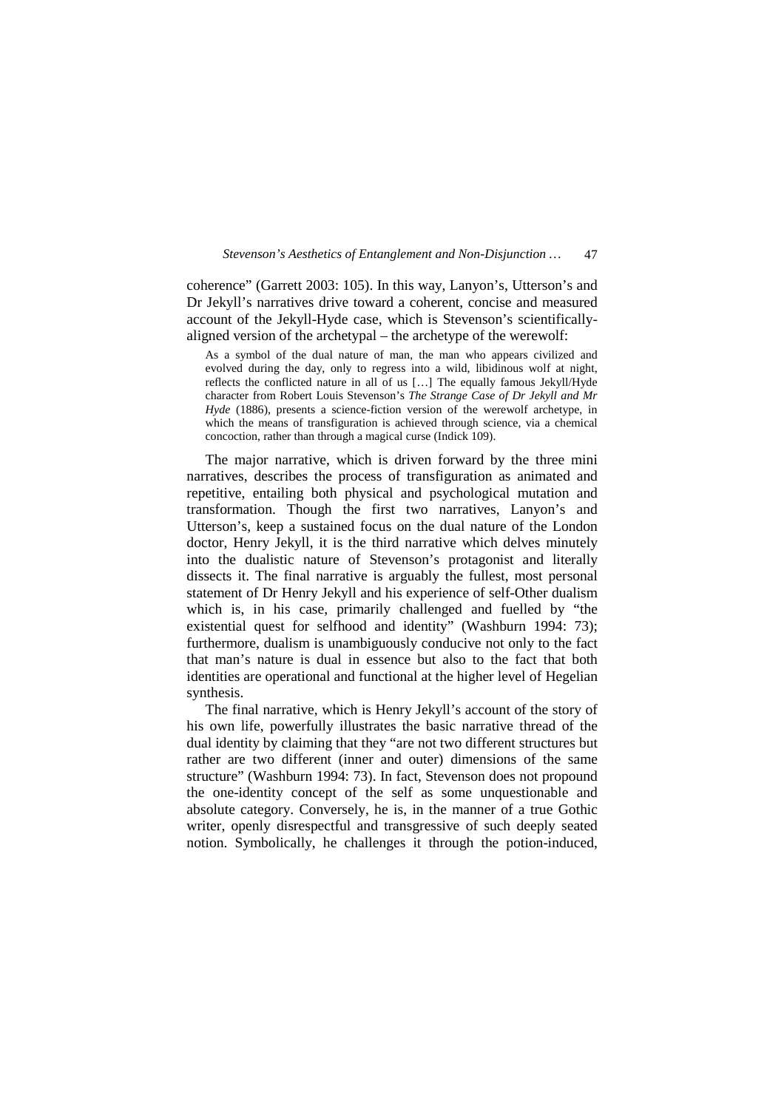coherence" (Garrett 2003: 105). In this way, Lanyon's, Utterson's and Dr Jekyll's narratives drive toward a coherent, concise and measured account of the Jekyll-Hyde case, which is Stevenson's scientificallyaligned version of the archetypal – the archetype of the werewolf:

As a symbol of the dual nature of man, the man who appears civilized and evolved during the day, only to regress into a wild, libidinous wolf at night, reflects the conflicted nature in all of us […] The equally famous Jekyll/Hyde character from Robert Louis Stevenson's *The Strange Case of Dr Jekyll and Mr Hyde* (1886), presents a science-fiction version of the werewolf archetype, in which the means of transfiguration is achieved through science, via a chemical concoction, rather than through a magical curse (Indick 109).

 The major narrative, which is driven forward by the three mini narratives, describes the process of transfiguration as animated and repetitive, entailing both physical and psychological mutation and transformation. Though the first two narratives, Lanyon's and Utterson's, keep a sustained focus on the dual nature of the London doctor, Henry Jekyll, it is the third narrative which delves minutely into the dualistic nature of Stevenson's protagonist and literally dissects it. The final narrative is arguably the fullest, most personal statement of Dr Henry Jekyll and his experience of self-Other dualism which is, in his case, primarily challenged and fuelled by "the existential quest for selfhood and identity" (Washburn 1994: 73); furthermore, dualism is unambiguously conducive not only to the fact that man's nature is dual in essence but also to the fact that both identities are operational and functional at the higher level of Hegelian synthesis.

 The final narrative, which is Henry Jekyll's account of the story of his own life, powerfully illustrates the basic narrative thread of the dual identity by claiming that they "are not two different structures but rather are two different (inner and outer) dimensions of the same structure" (Washburn 1994: 73). In fact, Stevenson does not propound the one-identity concept of the self as some unquestionable and absolute category. Conversely, he is, in the manner of a true Gothic writer, openly disrespectful and transgressive of such deeply seated notion. Symbolically, he challenges it through the potion-induced,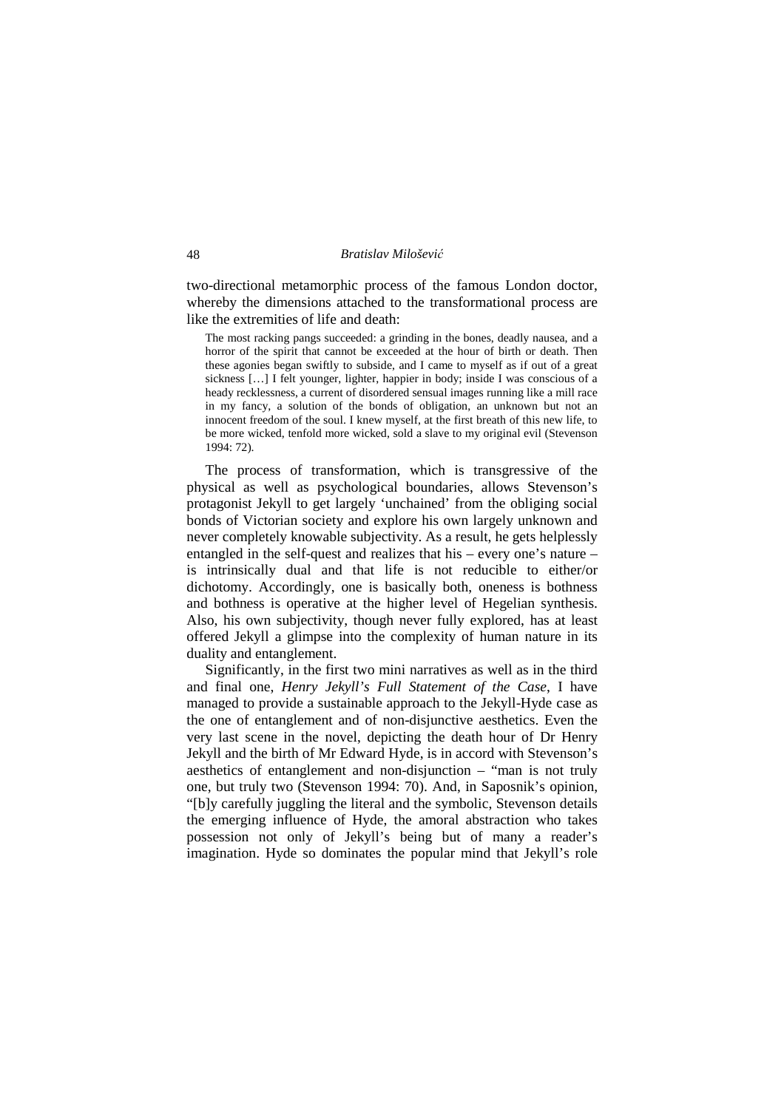two-directional metamorphic process of the famous London doctor, whereby the dimensions attached to the transformational process are like the extremities of life and death:

The most racking pangs succeeded: a grinding in the bones, deadly nausea, and a horror of the spirit that cannot be exceeded at the hour of birth or death. Then these agonies began swiftly to subside, and I came to myself as if out of a great sickness […] I felt younger, lighter, happier in body; inside I was conscious of a heady recklessness, a current of disordered sensual images running like a mill race in my fancy, a solution of the bonds of obligation, an unknown but not an innocent freedom of the soul. I knew myself, at the first breath of this new life, to be more wicked, tenfold more wicked, sold a slave to my original evil (Stevenson 1994: 72).

 The process of transformation, which is transgressive of the physical as well as psychological boundaries, allows Stevenson's protagonist Jekyll to get largely 'unchained' from the obliging social bonds of Victorian society and explore his own largely unknown and never completely knowable subjectivity. As a result, he gets helplessly entangled in the self-quest and realizes that his – every one's nature – is intrinsically dual and that life is not reducible to either/or dichotomy. Accordingly, one is basically both, oneness is bothness and bothness is operative at the higher level of Hegelian synthesis. Also, his own subjectivity, though never fully explored, has at least offered Jekyll a glimpse into the complexity of human nature in its duality and entanglement.

 Significantly, in the first two mini narratives as well as in the third and final one, *Henry Jekyll's Full Statement of the Case*, I have managed to provide a sustainable approach to the Jekyll-Hyde case as the one of entanglement and of non-disjunctive aesthetics. Even the very last scene in the novel, depicting the death hour of Dr Henry Jekyll and the birth of Mr Edward Hyde, is in accord with Stevenson's aesthetics of entanglement and non-disjunction – "man is not truly one, but truly two (Stevenson 1994: 70). And, in Saposnik's opinion, "[b]y carefully juggling the literal and the symbolic, Stevenson details the emerging influence of Hyde, the amoral abstraction who takes possession not only of Jekyll's being but of many a reader's imagination. Hyde so dominates the popular mind that Jekyll's role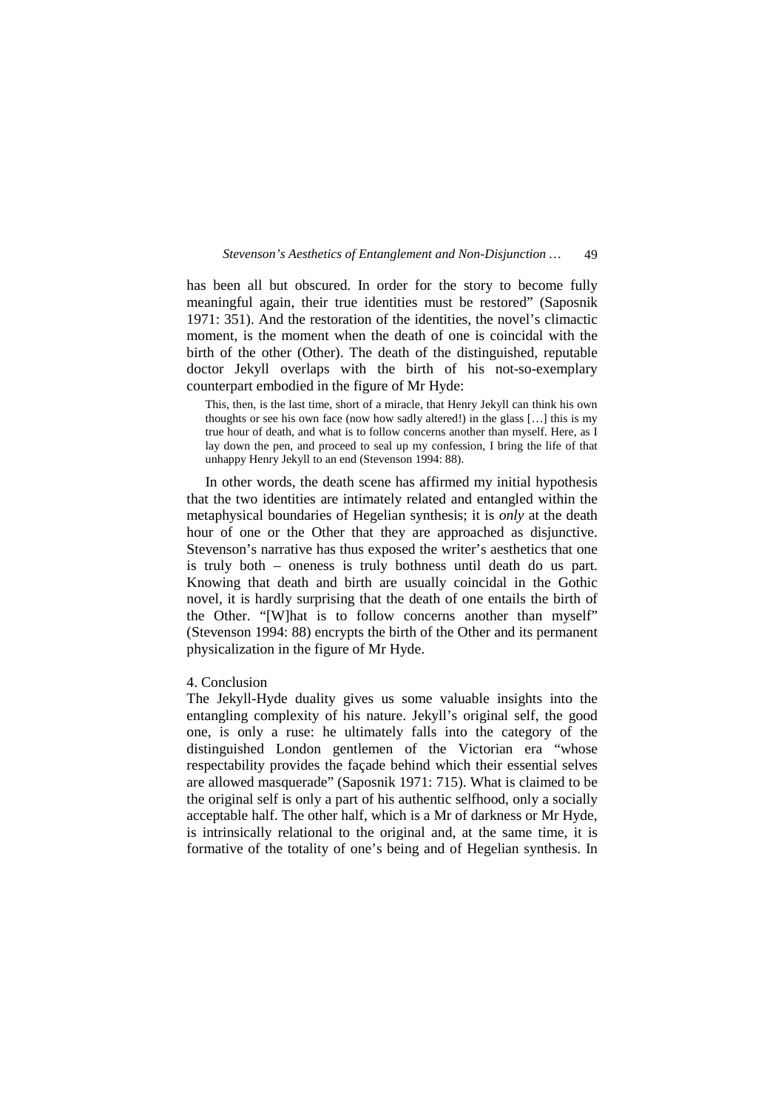has been all but obscured. In order for the story to become fully meaningful again, their true identities must be restored" (Saposnik 1971: 351). And the restoration of the identities, the novel's climactic moment, is the moment when the death of one is coincidal with the birth of the other (Other). The death of the distinguished, reputable doctor Jekyll overlaps with the birth of his not-so-exemplary counterpart embodied in the figure of Mr Hyde:

This, then, is the last time, short of a miracle, that Henry Jekyll can think his own thoughts or see his own face (now how sadly altered!) in the glass […] this is my true hour of death, and what is to follow concerns another than myself. Here, as I lay down the pen, and proceed to seal up my confession, I bring the life of that unhappy Henry Jekyll to an end (Stevenson 1994: 88).

 In other words, the death scene has affirmed my initial hypothesis that the two identities are intimately related and entangled within the metaphysical boundaries of Hegelian synthesis; it is *only* at the death hour of one or the Other that they are approached as disjunctive. Stevenson's narrative has thus exposed the writer's aesthetics that one is truly both – oneness is truly bothness until death do us part. Knowing that death and birth are usually coincidal in the Gothic novel, it is hardly surprising that the death of one entails the birth of the Other. "[W]hat is to follow concerns another than myself" (Stevenson 1994: 88) encrypts the birth of the Other and its permanent physicalization in the figure of Mr Hyde.

# 4. Conclusion

The Jekyll-Hyde duality gives us some valuable insights into the entangling complexity of his nature. Jekyll's original self, the good one, is only a ruse: he ultimately falls into the category of the distinguished London gentlemen of the Victorian era "whose respectability provides the façade behind which their essential selves are allowed masquerade" (Saposnik 1971: 715). What is claimed to be the original self is only a part of his authentic selfhood, only a socially acceptable half. The other half, which is a Mr of darkness or Mr Hyde, is intrinsically relational to the original and, at the same time, it is formative of the totality of one's being and of Hegelian synthesis. In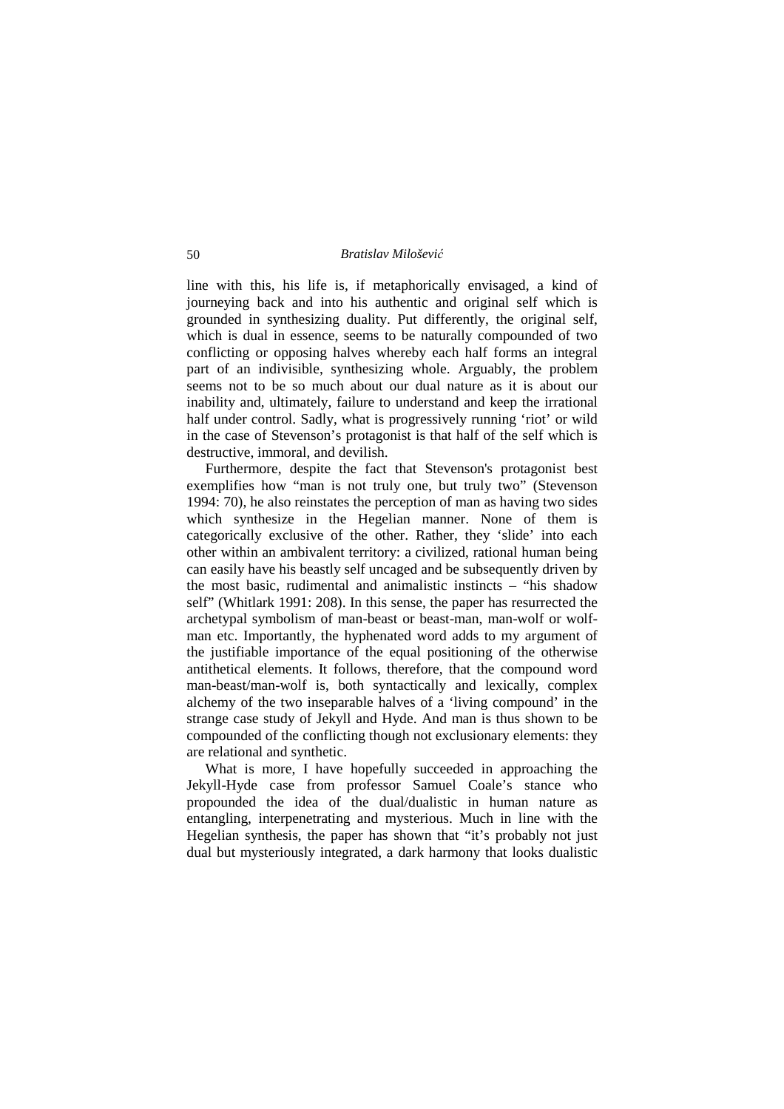line with this, his life is, if metaphorically envisaged, a kind of journeying back and into his authentic and original self which is grounded in synthesizing duality. Put differently, the original self, which is dual in essence, seems to be naturally compounded of two conflicting or opposing halves whereby each half forms an integral part of an indivisible, synthesizing whole. Arguably, the problem seems not to be so much about our dual nature as it is about our inability and, ultimately, failure to understand and keep the irrational half under control. Sadly, what is progressively running 'riot' or wild in the case of Stevenson's protagonist is that half of the self which is destructive, immoral, and devilish.

 Furthermore, despite the fact that Stevenson's protagonist best exemplifies how "man is not truly one, but truly two" (Stevenson 1994: 70), he also reinstates the perception of man as having two sides which synthesize in the Hegelian manner. None of them is categorically exclusive of the other. Rather, they 'slide' into each other within an ambivalent territory: a civilized, rational human being can easily have his beastly self uncaged and be subsequently driven by the most basic, rudimental and animalistic instincts – "his shadow self" (Whitlark 1991: 208). In this sense, the paper has resurrected the archetypal symbolism of man-beast or beast-man, man-wolf or wolfman etc. Importantly, the hyphenated word adds to my argument of the justifiable importance of the equal positioning of the otherwise antithetical elements. It follows, therefore, that the compound word man-beast/man-wolf is, both syntactically and lexically, complex alchemy of the two inseparable halves of a 'living compound' in the strange case study of Jekyll and Hyde. And man is thus shown to be compounded of the conflicting though not exclusionary elements: they are relational and synthetic.

 What is more, I have hopefully succeeded in approaching the Jekyll-Hyde case from professor Samuel Coale's stance who propounded the idea of the dual/dualistic in human nature as entangling, interpenetrating and mysterious. Much in line with the Hegelian synthesis, the paper has shown that "it's probably not just dual but mysteriously integrated, a dark harmony that looks dualistic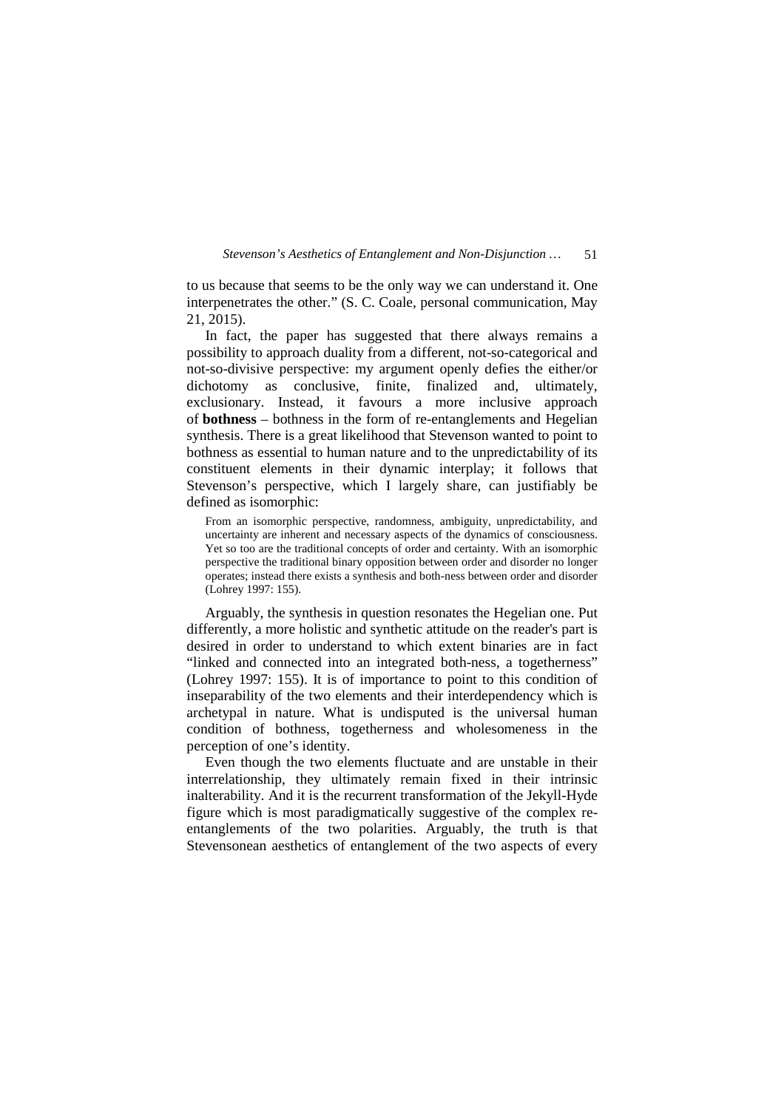to us because that seems to be the only way we can understand it. One interpenetrates the other." (S. C. Coale, personal communication, May 21, 2015).

 In fact, the paper has suggested that there always remains a possibility to approach duality from a different, not-so-categorical and not-so-divisive perspective: my argument openly defies the either/or dichotomy as conclusive, finite, finalized and, ultimately, exclusionary. Instead, it favours a more inclusive approach of **bothness** – bothness in the form of re-entanglements and Hegelian synthesis. There is a great likelihood that Stevenson wanted to point to bothness as essential to human nature and to the unpredictability of its constituent elements in their dynamic interplay; it follows that Stevenson's perspective, which I largely share, can justifiably be defined as isomorphic:

From an isomorphic perspective, randomness, ambiguity, unpredictability, and uncertainty are inherent and necessary aspects of the dynamics of consciousness. Yet so too are the traditional concepts of order and certainty. With an isomorphic perspective the traditional binary opposition between order and disorder no longer operates; instead there exists a synthesis and both-ness between order and disorder (Lohrey 1997: 155).

 Arguably, the synthesis in question resonates the Hegelian one. Put differently, a more holistic and synthetic attitude on the reader's part is desired in order to understand to which extent binaries are in fact "linked and connected into an integrated both-ness, a togetherness" (Lohrey 1997: 155). It is of importance to point to this condition of inseparability of the two elements and their interdependency which is archetypal in nature. What is undisputed is the universal human condition of bothness, togetherness and wholesomeness in the perception of one's identity.

 Even though the two elements fluctuate and are unstable in their interrelationship, they ultimately remain fixed in their intrinsic inalterability. And it is the recurrent transformation of the Jekyll-Hyde figure which is most paradigmatically suggestive of the complex reentanglements of the two polarities. Arguably, the truth is that Stevensonean aesthetics of entanglement of the two aspects of every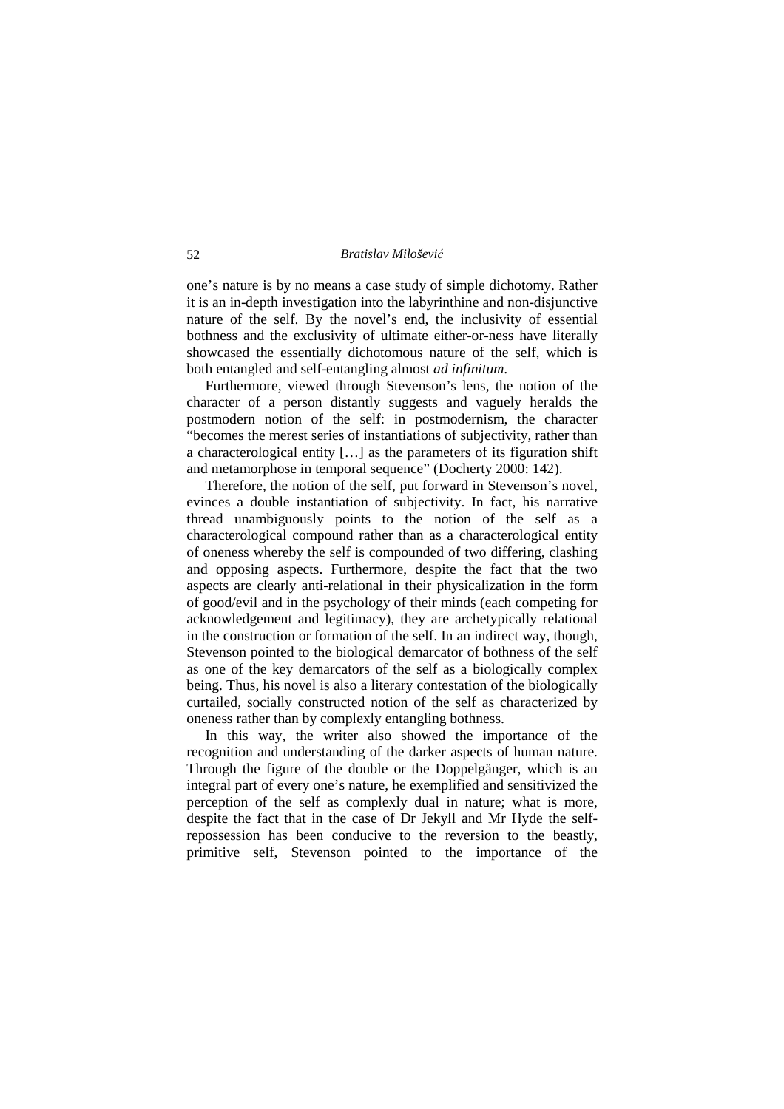one's nature is by no means a case study of simple dichotomy. Rather it is an in-depth investigation into the labyrinthine and non-disjunctive nature of the self. By the novel's end, the inclusivity of essential bothness and the exclusivity of ultimate either-or-ness have literally showcased the essentially dichotomous nature of the self, which is both entangled and self-entangling almost *ad infinitum*.

 Furthermore, viewed through Stevenson's lens, the notion of the character of a person distantly suggests and vaguely heralds the postmodern notion of the self: in postmodernism, the character "becomes the merest series of instantiations of subjectivity, rather than a characterological entity […] as the parameters of its figuration shift and metamorphose in temporal sequence" (Docherty 2000: 142).

 Therefore, the notion of the self, put forward in Stevenson's novel, evinces a double instantiation of subjectivity. In fact, his narrative thread unambiguously points to the notion of the self as a characterological compound rather than as a characterological entity of oneness whereby the self is compounded of two differing, clashing and opposing aspects. Furthermore, despite the fact that the two aspects are clearly anti-relational in their physicalization in the form of good/evil and in the psychology of their minds (each competing for acknowledgement and legitimacy), they are archetypically relational in the construction or formation of the self. In an indirect way, though, Stevenson pointed to the biological demarcator of bothness of the self as one of the key demarcators of the self as a biologically complex being. Thus, his novel is also a literary contestation of the biologically curtailed, socially constructed notion of the self as characterized by oneness rather than by complexly entangling bothness.

 In this way, the writer also showed the importance of the recognition and understanding of the darker aspects of human nature. Through the figure of the double or the Doppelgänger, which is an integral part of every one's nature, he exemplified and sensitivized the perception of the self as complexly dual in nature; what is more, despite the fact that in the case of Dr Jekyll and Mr Hyde the selfrepossession has been conducive to the reversion to the beastly, primitive self, Stevenson pointed to the importance of the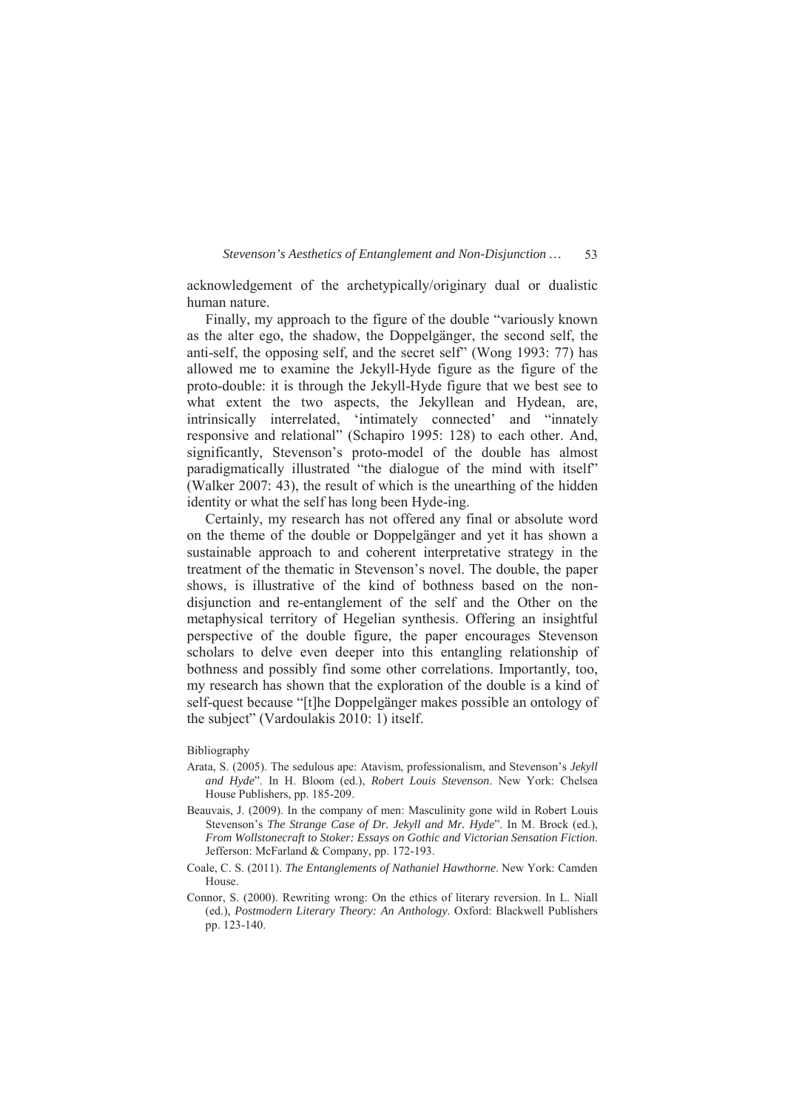acknowledgement of the archetypically/originary dual or dualistic human nature.

 Finally, my approach to the figure of the double "variously known as the alter ego, the shadow, the Doppelgänger, the second self, the anti-self, the opposing self, and the secret self" (Wong 1993: 77) has allowed me to examine the Jekyll-Hyde figure as the figure of the proto-double: it is through the Jekyll-Hyde figure that we best see to what extent the two aspects, the Jekyllean and Hydean, are, intrinsically interrelated, 'intimately connected' and "innately responsive and relational" (Schapiro 1995: 128) to each other. And, significantly, Stevenson's proto-model of the double has almost paradigmatically illustrated "the dialogue of the mind with itself" (Walker 2007: 43), the result of which is the unearthing of the hidden identity or what the self has long been Hyde-ing.

 Certainly, my research has not offered any final or absolute word on the theme of the double or Doppelgänger and yet it has shown a sustainable approach to and coherent interpretative strategy in the treatment of the thematic in Stevenson's novel. The double, the paper shows, is illustrative of the kind of bothness based on the nondisjunction and re-entanglement of the self and the Other on the metaphysical territory of Hegelian synthesis. Offering an insightful perspective of the double figure, the paper encourages Stevenson scholars to delve even deeper into this entangling relationship of bothness and possibly find some other correlations. Importantly, too, my research has shown that the exploration of the double is a kind of self-quest because "[t]he Doppelgänger makes possible an ontology of the subject" (Vardoulakis 2010: 1) itself.

#### Bibliography

- Arata, S. (2005). The sedulous ape: Atavism, professionalism, and Stevenson's *Jekyll and Hyde*". In H. Bloom (ed.), *Robert Louis Stevenson*. New York: Chelsea House Publishers, pp. 185-209.
- Beauvais, J. (2009). In the company of men: Masculinity gone wild in Robert Louis Stevenson's *The Strange Case of Dr. Jekyll and Mr. Hyde*". In M. Brock (ed.), *From Wollstonecraft to Stoker: Essays on Gothic and Victorian Sensation Fiction.* Jefferson: McFarland & Company, pp. 172-193.
- Coale, C. S. (2011). *The Entanglements of Nathaniel Hawthorne*. New York: Camden House.
- Connor, S. (2000). Rewriting wrong: On the ethics of literary reversion. In L. Niall (ed.), *Postmodern Literary Theory: An Anthology*. Oxford: Blackwell Publishers pp. 123-140.